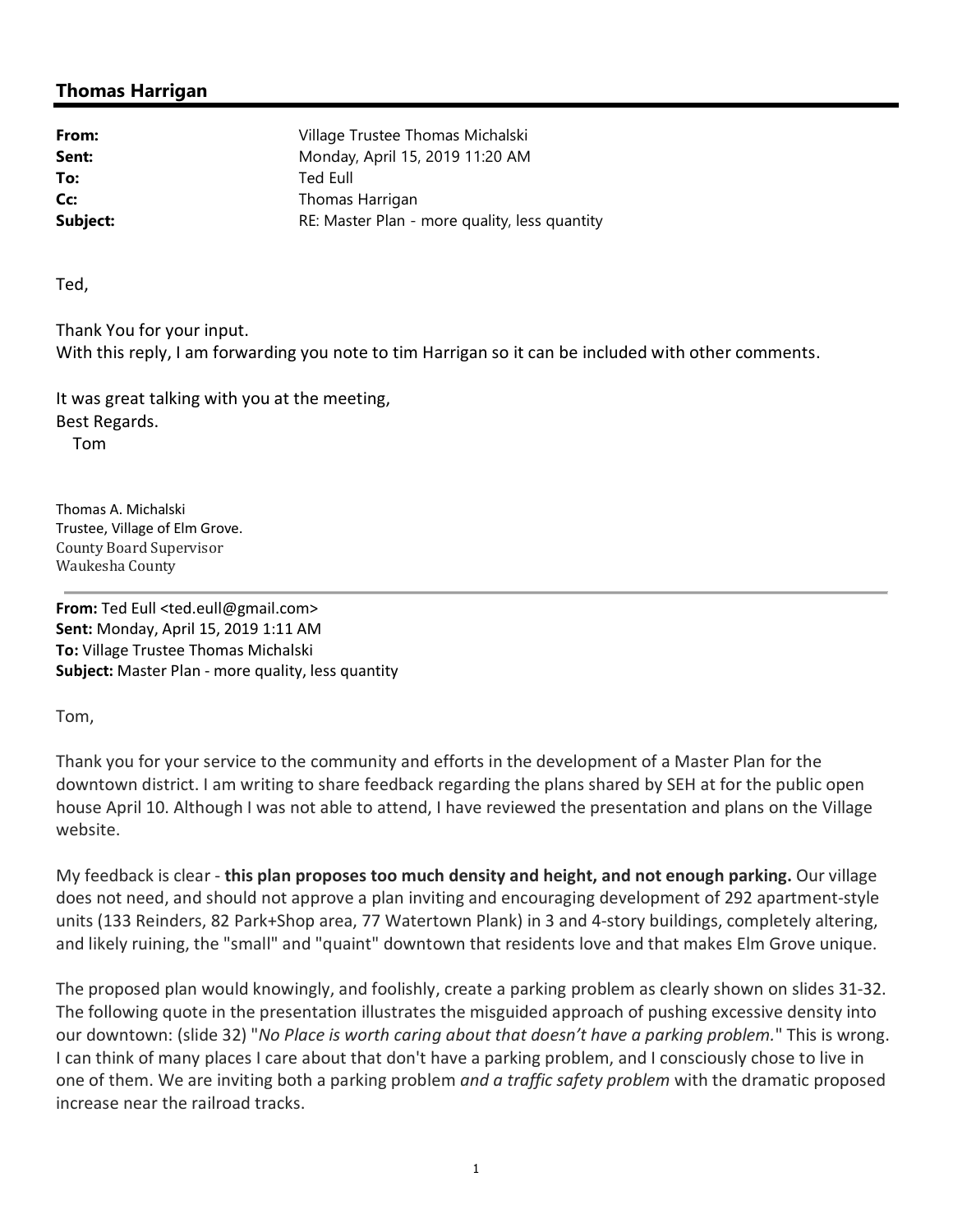## **Thomas Harrigan**

**From:** Village Trustee Thomas Michalski **Sent:** Monday, April 15, 2019 11:20 AM **To:** Ted Eull **Cc:** Thomas Harrigan **Subject:** RE: Master Plan - more quality, less quantity quantity

Ted,

Thank You for your input. With this reply, I am forwarding you note to tim Harrigan so it can be included with other comments.

It was great talking with you at the meeting, Best Regards.

Tom

Thomas A. Michalski Trustee, Village of Elm Grove. County Board Supervisor Waukesha County

**From:** Ted Eull <ted.eull@gmail.com> **Sent:** Monday, April 15, 2019 1:11 AM **To:** Village Trustee Thomas Michalski **Subject:** Master Plan - more quality, less quantity

Tom,

Thank you for your service to the community and efforts in the development of a Master Plan for the downtown district. I am writing to share feedback regarding the plans shared by SEH at for the public open house April 10. Although I was not able to attend, I have reviewed the presentation and plans on the Village website.

My feedback is clear - **this plan proposes too much density and height, and not enough parking.** Our village does not need, and should not approve a plan inviting and encouraging development of 292 apartment-style units (133 Reinders, 82 Park+Shop area, 77 Watertown Plank) in 3 and 4-story buildings, completely altering, and likely ruining, the "small" and "quaint" downtown that residents love and that makes Elm Grove unique.

The proposed plan would knowingly, and foolishly, create a parking problem as clearly shown on slides 31-32. The following quote in the presentation illustrates the misguided approach of pushing excessive density into our downtown: (slide 32) "*No Place is worth caring about that doesn't have a parking problem.*" This is wrong. I can think of many places I care about that don't have a parking problem, and I consciously chose to live in one of them. We are inviting both a parking problem *and a traffic safety problem* with the dramatic proposed increase near the railroad tracks.